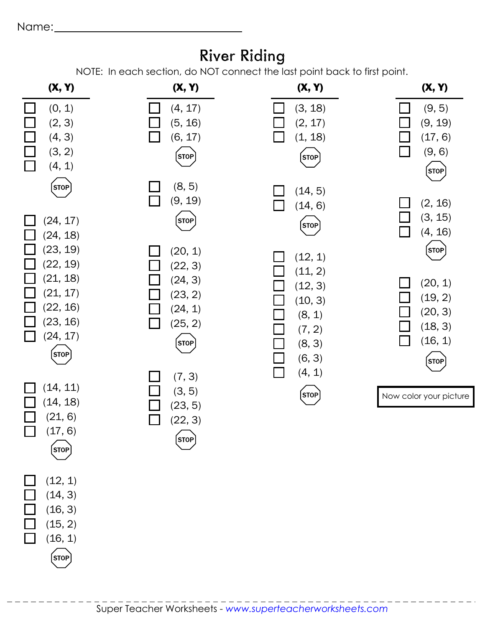Name:

## **River Riding**

NOTE: In each section, do NOT connect the last point back to first point.

| (X, Y)                                                                        | <b>INOTE.</b> IN GUCH SECTION, UO NOT CONNECT THE RIST POINT DUCK TO HIST POINT.<br>(X, Y) | (X, Y)                                                     | (X, Y)                                                                       |
|-------------------------------------------------------------------------------|--------------------------------------------------------------------------------------------|------------------------------------------------------------|------------------------------------------------------------------------------|
| (0, 1)<br>(2, 3)<br>(4, 3)<br>(3, 2)<br>(4, 1)<br>$\mathsf{L}$                | (4, 17)<br>(5, 16)<br>(6, 17)<br>$[\mathsf{stop}]$                                         | (3, 18)<br>(2, 17)<br>(1, 18)<br>(STOP)                    | (9, 5)<br>(9, 19)<br>(17, 6)<br>(9, 6)<br>$\mathcal{L}$<br>$[\mathsf{stop}]$ |
| <b>STOP</b><br>(24, 17)<br>(24, 18)<br>(23, 19)<br>(22, 19)                   | (8, 5)<br>(9, 19)<br>$[{\sf store}]$<br>(20, 1)<br>(22, 3)                                 | (14, 5)<br>(14, 6)<br>(STOP)<br>(12, 1)<br>(11, 2)         | (2, 16)<br>(3, 15)<br>(4, 16)<br>$[\mathsf{STOP}]$                           |
| (21, 18)<br>(21, 17)<br>(22, 16)<br>(23, 16)<br>(24, 17)<br>$[\mathsf{STOP}]$ | (24, 3)<br>(23, 2)<br>(24, 1)<br>(25, 2)<br><b>STOP</b>                                    | (12, 3)<br>(10, 3)<br>(8, 1)<br>(7, 2)<br>(8, 3)<br>(6, 3) | (20, 1)<br>(19, 2)<br>(20, 3)<br>(18, 3)<br>(16, 1)<br>l II<br><b>STOP</b>   |
| (14, 11)<br>(14, 18)<br>(21, 6)<br>(17, 6)<br>$(s$ TOP                        | (7, 3)<br>(3, 5)<br>(23, 5)<br>(22, 3)<br><b>STOP</b>                                      | (4, 1)<br>$\mathbf{I}$<br>[STOP]                           | Now color your picture                                                       |
| (12, 1)<br>(14, 3)<br>(16, 3)<br>(15, 2)<br>(16, 1)<br>$[\mathsf{stop}]$      |                                                                                            |                                                            |                                                                              |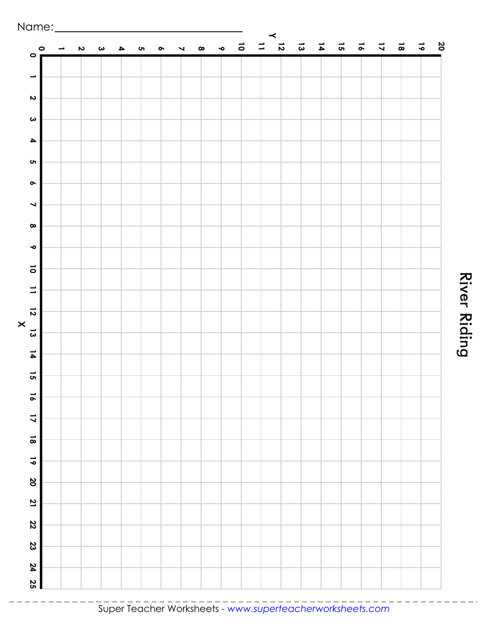

River Riding